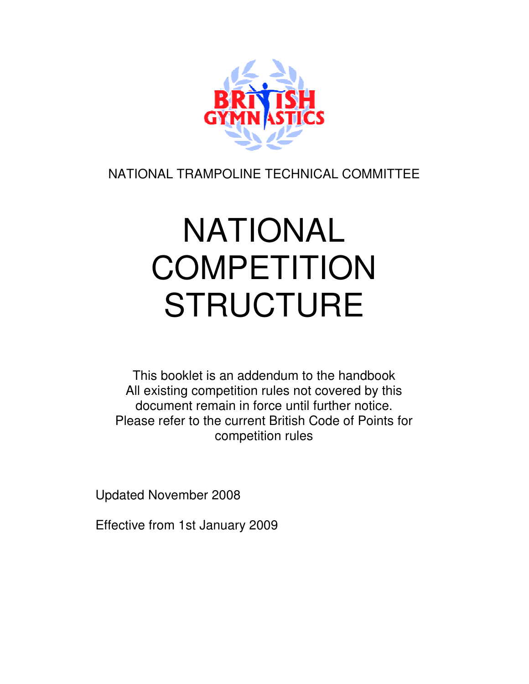

NATIONAL TRAMPOLINE TECHNICAL COMMITTEE

# NATIONAL **COMPETITION STRUCTURE**

This booklet is an addendum to the handbook All existing competition rules not covered by this document remain in force until further notice. Please refer to the current British Code of Points for competition rules

Updated November 2008

Effective from 1st January 2009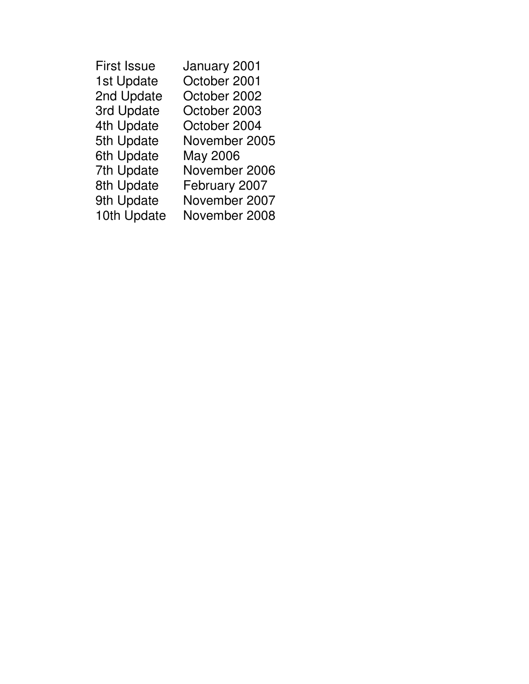| <b>First Issue</b> | January 2001  |
|--------------------|---------------|
| 1st Update         | October 2001  |
| 2nd Update         | October 2002  |
| 3rd Update         | October 2003  |
| 4th Update         | October 2004  |
| 5th Update         | November 2005 |
| 6th Update         | May 2006      |
| 7th Update         | November 2006 |
| 8th Update         | February 2007 |
| 9th Update         | November 2007 |
| 10th Update        | November 2008 |
|                    |               |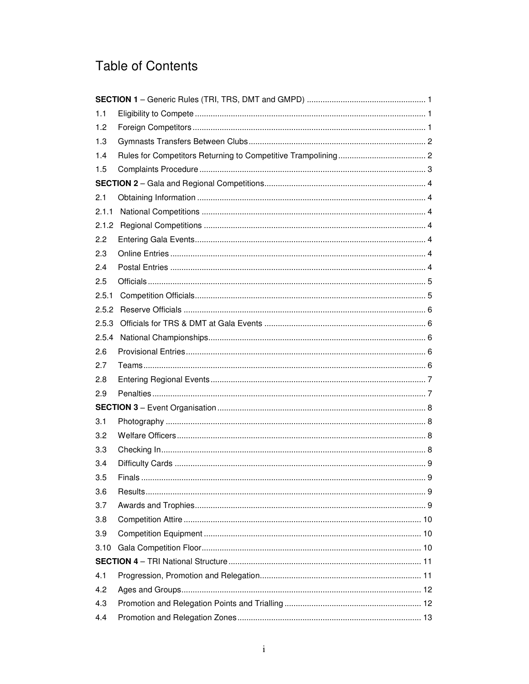### **Table of Contents**

| 1.1   |  |
|-------|--|
| 1.2   |  |
| 1.3   |  |
| 1.4   |  |
| 1.5   |  |
|       |  |
| 2.1   |  |
| 2.1.1 |  |
| 2.1.2 |  |
| 2.2   |  |
| 2.3   |  |
| 2.4   |  |
| 2.5   |  |
| 2.5.1 |  |
| 2.5.2 |  |
| 2.5.3 |  |
| 2.5.4 |  |
| 2.6   |  |
| 2.7   |  |
| 2.8   |  |
| 2.9   |  |
|       |  |
| 3.1   |  |
| 3.2   |  |
| 3.3   |  |
| 3.4   |  |
| 3.5   |  |
| 3.6   |  |
| 3.7   |  |
| 3.8   |  |
| 3.9   |  |
| 3.10  |  |
|       |  |
| 4.1   |  |
| 4.2   |  |
| 4.3   |  |
| 4.4   |  |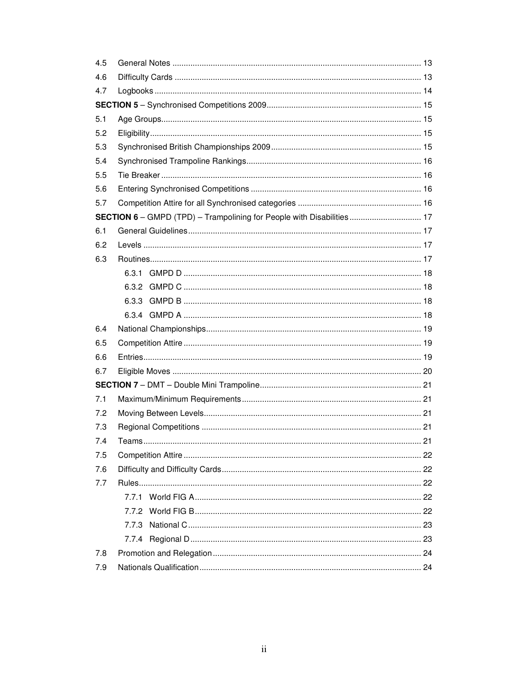| 4.5 |                                                                       |  |
|-----|-----------------------------------------------------------------------|--|
| 4.6 |                                                                       |  |
| 4.7 |                                                                       |  |
|     |                                                                       |  |
| 5.1 |                                                                       |  |
| 5.2 |                                                                       |  |
| 5.3 |                                                                       |  |
| 5.4 |                                                                       |  |
| 5.5 |                                                                       |  |
| 5.6 |                                                                       |  |
| 5.7 |                                                                       |  |
|     | SECTION 6 - GMPD (TPD) - Trampolining for People with Disabilities 17 |  |
| 6.1 |                                                                       |  |
| 6.2 |                                                                       |  |
| 6.3 |                                                                       |  |
|     |                                                                       |  |
|     |                                                                       |  |
|     |                                                                       |  |
|     |                                                                       |  |
| 6.4 |                                                                       |  |
| 6.5 |                                                                       |  |
| 6.6 |                                                                       |  |
| 6.7 |                                                                       |  |
|     |                                                                       |  |
| 7.1 |                                                                       |  |
| 7.2 |                                                                       |  |
| 7.3 |                                                                       |  |
| 7.4 |                                                                       |  |
| 7.5 |                                                                       |  |
| 7.6 |                                                                       |  |
| 7.7 |                                                                       |  |
|     |                                                                       |  |
|     |                                                                       |  |
|     | 7.7.3                                                                 |  |
|     |                                                                       |  |
| 7.8 |                                                                       |  |
| 7.9 |                                                                       |  |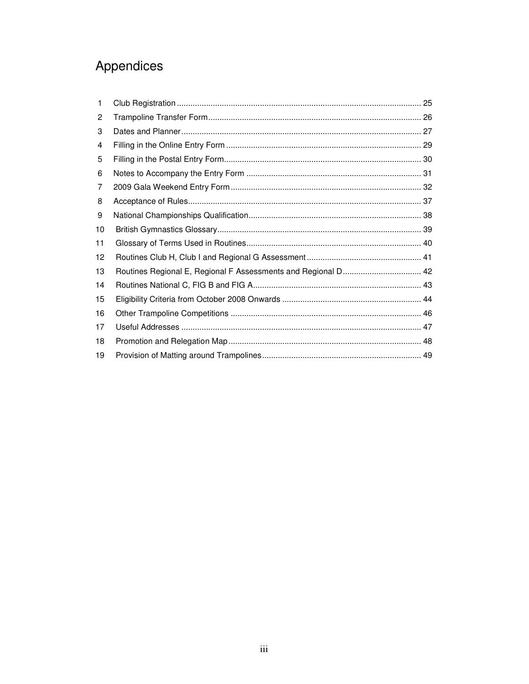### Appendices

| 1  |  |
|----|--|
| 2  |  |
| 3  |  |
| 4  |  |
| 5  |  |
| 6  |  |
| 7  |  |
| 8  |  |
| 9  |  |
| 10 |  |
| 11 |  |
| 12 |  |
| 13 |  |
| 14 |  |
| 15 |  |
| 16 |  |
| 17 |  |
| 18 |  |
| 19 |  |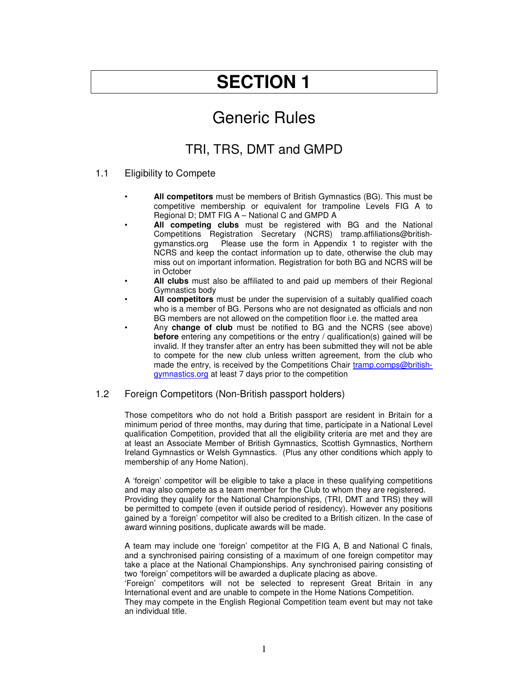### Generic Rules

### TRI, TRS, DMT and GMPD

#### 1.1 Eligibility to Compete

- **All competitors** must be members of British Gymnastics (BG). This must be competitive membership or equivalent for trampoline Levels FIG A to Regional D; DMT FIG A – National C and GMPD A
- **All competing clubs** must be registered with BG and the National Competitions Registration Secretary (NCRS) tramp.affiliations@britishgymanstics.org Please use the form in Appendix 1 to register with the NCRS and keep the contact information up to date, otherwise the club may miss out on important information. Registration for both BG and NCRS will be in October
- **All clubs** must also be affiliated to and paid up members of their Regional Gymnastics body
- **All competitors** must be under the supervision of a suitably qualified coach who is a member of BG. Persons who are not designated as officials and non BG members are not allowed on the competition floor i.e. the matted area
- Any **change of club** must be notified to BG and the NCRS (see above) **before** entering any competitions or the entry / qualification(s) gained will be invalid. If they transfer after an entry has been submitted they will not be able to compete for the new club unless written agreement, from the club who made the entry, is received by the Competitions Chair tramp.comps@britishgymnastics.org at least 7 days prior to the competition

#### 1.2 Foreign Competitors (Non-British passport holders)

Those competitors who do not hold a British passport are resident in Britain for a minimum period of three months, may during that time, participate in a National Level qualification Competition, provided that all the eligibility criteria are met and they are at least an Associate Member of British Gymnastics, Scottish Gymnastics, Northern Ireland Gymnastics or Welsh Gymnastics. (Plus any other conditions which apply to membership of any Home Nation).

A 'foreign' competitor will be eligible to take a place in these qualifying competitions and may also compete as a team member for the Club to whom they are registered. Providing they qualify for the National Championships, (TRI, DMT and TRS) they will be permitted to compete (even if outside period of residency). However any positions gained by a 'foreign' competitor will also be credited to a British citizen. In the case of award winning positions, duplicate awards will be made.

A team may include one 'foreign' competitor at the FIG A, B and National C finals, and a synchronised pairing consisting of a maximum of one foreign competitor may take a place at the National Championships. Any synchronised pairing consisting of two 'foreign' competitors will be awarded a duplicate placing as above.

'Foreign' competitors will not be selected to represent Great Britain in any International event and are unable to compete in the Home Nations Competition.

They may compete in the English Regional Competition team event but may not take an individual title.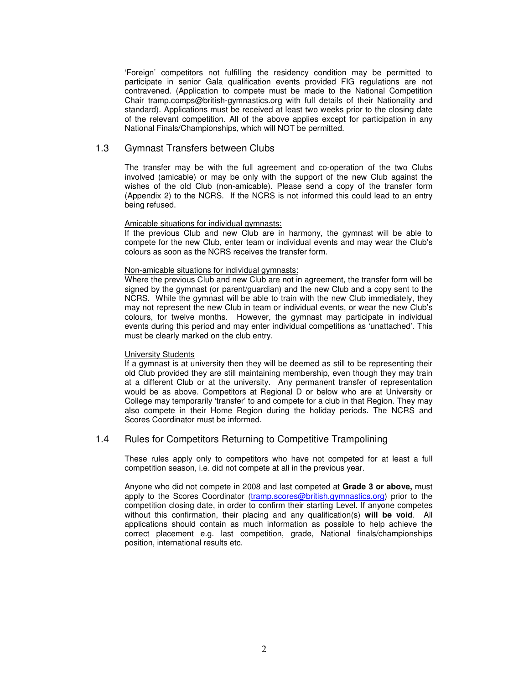'Foreign' competitors not fulfilling the residency condition may be permitted to participate in senior Gala qualification events provided FIG regulations are not contravened. (Application to compete must be made to the National Competition Chair tramp.comps@british-gymnastics.org with full details of their Nationality and standard). Applications must be received at least two weeks prior to the closing date of the relevant competition. All of the above applies except for participation in any National Finals/Championships, which will NOT be permitted.

#### 1.3 Gymnast Transfers between Clubs

The transfer may be with the full agreement and co-operation of the two Clubs involved (amicable) or may be only with the support of the new Club against the wishes of the old Club (non-amicable). Please send a copy of the transfer form (Appendix 2) to the NCRS. If the NCRS is not informed this could lead to an entry being refused.

#### Amicable situations for individual gymnasts:

If the previous Club and new Club are in harmony, the gymnast will be able to compete for the new Club, enter team or individual events and may wear the Club's colours as soon as the NCRS receives the transfer form.

#### Non-amicable situations for individual gymnasts:

Where the previous Club and new Club are not in agreement, the transfer form will be signed by the gymnast (or parent/guardian) and the new Club and a copy sent to the NCRS. While the gymnast will be able to train with the new Club immediately, they may not represent the new Club in team or individual events, or wear the new Club's colours, for twelve months. However, the gymnast may participate in individual events during this period and may enter individual competitions as 'unattached'. This must be clearly marked on the club entry.

#### **University Students**

If a gymnast is at university then they will be deemed as still to be representing their old Club provided they are still maintaining membership, even though they may train at a different Club or at the university. Any permanent transfer of representation would be as above. Competitors at Regional D or below who are at University or College may temporarily 'transfer' to and compete for a club in that Region. They may also compete in their Home Region during the holiday periods. The NCRS and Scores Coordinator must be informed.

#### 1.4 Rules for Competitors Returning to Competitive Trampolining

These rules apply only to competitors who have not competed for at least a full competition season, i.e. did not compete at all in the previous year.

Anyone who did not compete in 2008 and last competed at **Grade 3 or above,** must apply to the Scores Coordinator (tramp.scores@british.gymnastics.org) prior to the competition closing date, in order to confirm their starting Level. If anyone competes without this confirmation, their placing and any qualification(s) **will be void**. All applications should contain as much information as possible to help achieve the correct placement e.g. last competition, grade, National finals/championships position, international results etc.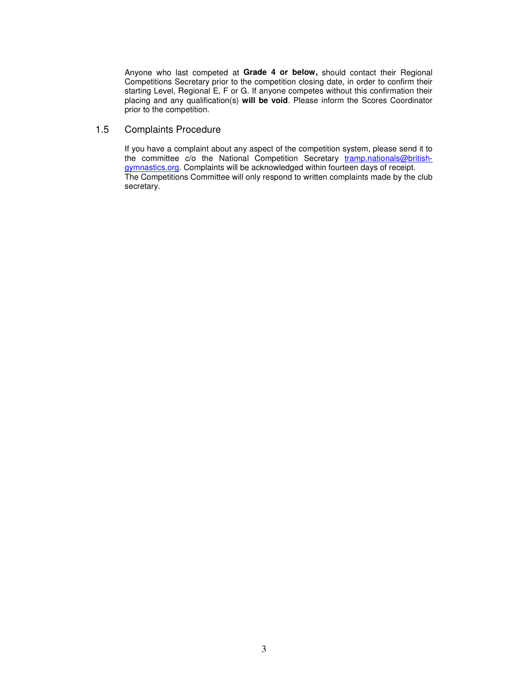Anyone who last competed at **Grade 4 or below,** should contact their Regional Competitions Secretary prior to the competition closing date, in order to confirm their starting Level, Regional E, F or G. If anyone competes without this confirmation their placing and any qualification(s) **will be void**. Please inform the Scores Coordinator prior to the competition.

#### 1.5 Complaints Procedure

If you have a complaint about any aspect of the competition system, please send it to the committee c/o the National Competition Secretary tramp.nationals@britishgymnastics.org. Complaints will be acknowledged within fourteen days of receipt. The Competitions Committee will only respond to written complaints made by the club secretary.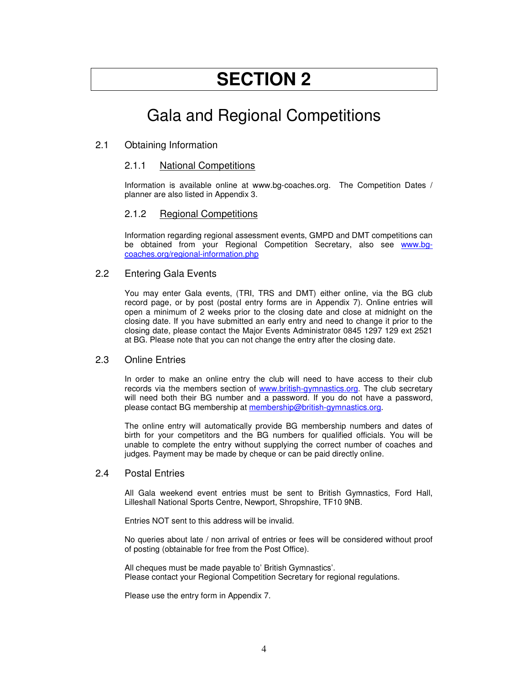### Gala and Regional Competitions

#### 2.1 Obtaining Information

#### 2.1.1 National Competitions

Information is available online at www.bg-coaches.org. The Competition Dates / planner are also listed in Appendix 3.

#### 2.1.2 Regional Competitions

Information regarding regional assessment events, GMPD and DMT competitions can be obtained from your Regional Competition Secretary, also see www.bgcoaches.org/regional-information.php

#### 2.2 Entering Gala Events

You may enter Gala events, (TRI, TRS and DMT) either online, via the BG club record page, or by post (postal entry forms are in Appendix 7). Online entries will open a minimum of 2 weeks prior to the closing date and close at midnight on the closing date. If you have submitted an early entry and need to change it prior to the closing date, please contact the Major Events Administrator 0845 1297 129 ext 2521 at BG. Please note that you can not change the entry after the closing date.

#### 2.3 Online Entries

In order to make an online entry the club will need to have access to their club records via the members section of www.british-gymnastics.org. The club secretary will need both their BG number and a password. If you do not have a password, please contact BG membership at membership@british-gymnastics.org.

The online entry will automatically provide BG membership numbers and dates of birth for your competitors and the BG numbers for qualified officials. You will be unable to complete the entry without supplying the correct number of coaches and judges. Payment may be made by cheque or can be paid directly online.

#### 2.4 Postal Entries

All Gala weekend event entries must be sent to British Gymnastics, Ford Hall, Lilleshall National Sports Centre, Newport, Shropshire, TF10 9NB.

Entries NOT sent to this address will be invalid.

No queries about late / non arrival of entries or fees will be considered without proof of posting (obtainable for free from the Post Office).

All cheques must be made payable to' British Gymnastics'. Please contact your Regional Competition Secretary for regional regulations.

Please use the entry form in Appendix 7.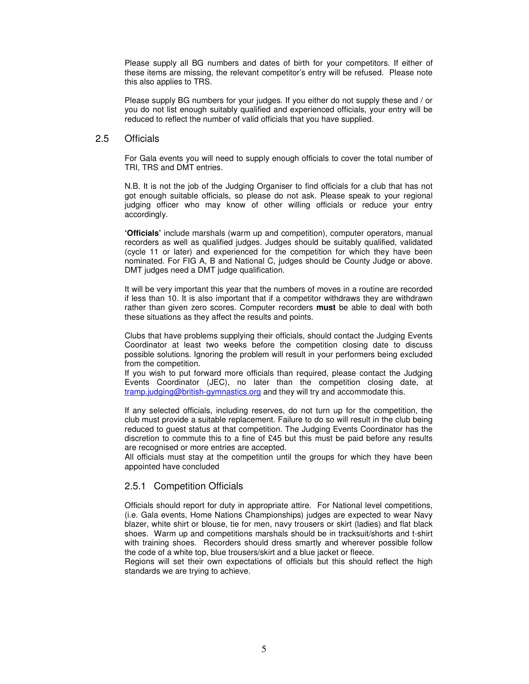Please supply all BG numbers and dates of birth for your competitors. If either of these items are missing, the relevant competitor's entry will be refused. Please note this also applies to TRS.

Please supply BG numbers for your judges. If you either do not supply these and / or you do not list enough suitably qualified and experienced officials, your entry will be reduced to reflect the number of valid officials that you have supplied.

#### 2.5 Officials

For Gala events you will need to supply enough officials to cover the total number of TRI, TRS and DMT entries.

N.B. It is not the job of the Judging Organiser to find officials for a club that has not got enough suitable officials, so please do not ask. Please speak to your regional judging officer who may know of other willing officials or reduce your entry accordingly.

**'Officials'** include marshals (warm up and competition), computer operators, manual recorders as well as qualified judges. Judges should be suitably qualified, validated (cycle 11 or later) and experienced for the competition for which they have been nominated. For FIG A, B and National C, judges should be County Judge or above. DMT judges need a DMT judge qualification.

It will be very important this year that the numbers of moves in a routine are recorded if less than 10. It is also important that if a competitor withdraws they are withdrawn rather than given zero scores. Computer recorders **must** be able to deal with both these situations as they affect the results and points.

Clubs that have problems supplying their officials, should contact the Judging Events Coordinator at least two weeks before the competition closing date to discuss possible solutions. Ignoring the problem will result in your performers being excluded from the competition.

If you wish to put forward more officials than required, please contact the Judging Events Coordinator (JEC), no later than the competition closing date, at tramp.judging@british-gymnastics.org and they will try and accommodate this.

If any selected officials, including reserves, do not turn up for the competition, the club must provide a suitable replacement. Failure to do so will result in the club being reduced to guest status at that competition. The Judging Events Coordinator has the discretion to commute this to a fine of £45 but this must be paid before any results are recognised or more entries are accepted.

All officials must stay at the competition until the groups for which they have been appointed have concluded

#### 2.5.1 Competition Officials

Officials should report for duty in appropriate attire. For National level competitions, (i.e. Gala events, Home Nations Championships) judges are expected to wear Navy blazer, white shirt or blouse, tie for men, navy trousers or skirt (ladies) and flat black shoes. Warm up and competitions marshals should be in tracksuit/shorts and t-shirt with training shoes. Recorders should dress smartly and wherever possible follow the code of a white top, blue trousers/skirt and a blue jacket or fleece.

Regions will set their own expectations of officials but this should reflect the high standards we are trying to achieve.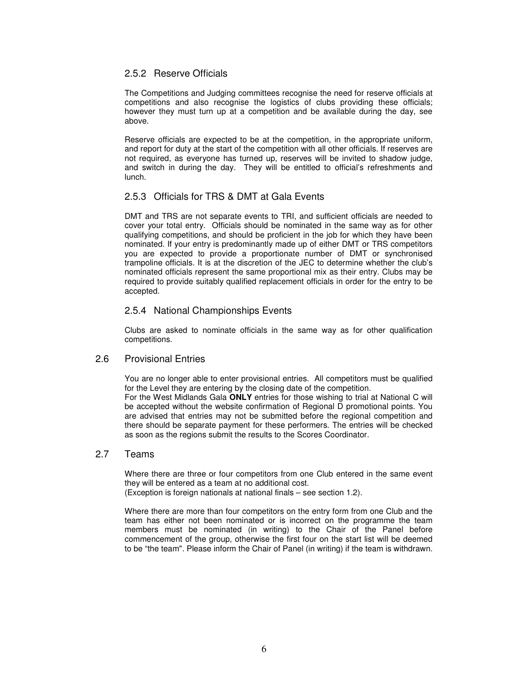#### 2.5.2 Reserve Officials

The Competitions and Judging committees recognise the need for reserve officials at competitions and also recognise the logistics of clubs providing these officials; however they must turn up at a competition and be available during the day, see above.

Reserve officials are expected to be at the competition, in the appropriate uniform, and report for duty at the start of the competition with all other officials. If reserves are not required, as everyone has turned up, reserves will be invited to shadow judge, and switch in during the day. They will be entitled to official's refreshments and lunch.

#### 2.5.3 Officials for TRS & DMT at Gala Events

DMT and TRS are not separate events to TRI, and sufficient officials are needed to cover your total entry. Officials should be nominated in the same way as for other qualifying competitions, and should be proficient in the job for which they have been nominated. If your entry is predominantly made up of either DMT or TRS competitors you are expected to provide a proportionate number of DMT or synchronised trampoline officials. It is at the discretion of the JEC to determine whether the club's nominated officials represent the same proportional mix as their entry. Clubs may be required to provide suitably qualified replacement officials in order for the entry to be accepted.

#### 2.5.4 National Championships Events

Clubs are asked to nominate officials in the same way as for other qualification competitions.

#### 2.6 Provisional Entries

You are no longer able to enter provisional entries. All competitors must be qualified for the Level they are entering by the closing date of the competition.

For the West Midlands Gala **ONLY** entries for those wishing to trial at National C will be accepted without the website confirmation of Regional D promotional points. You are advised that entries may not be submitted before the regional competition and there should be separate payment for these performers. The entries will be checked as soon as the regions submit the results to the Scores Coordinator.

#### 2.7 Teams

Where there are three or four competitors from one Club entered in the same event they will be entered as a team at no additional cost.

(Exception is foreign nationals at national finals – see section 1.2).

Where there are more than four competitors on the entry form from one Club and the team has either not been nominated or is incorrect on the programme the team members must be nominated (in writing) to the Chair of the Panel before commencement of the group, otherwise the first four on the start list will be deemed to be "the team". Please inform the Chair of Panel (in writing) if the team is withdrawn.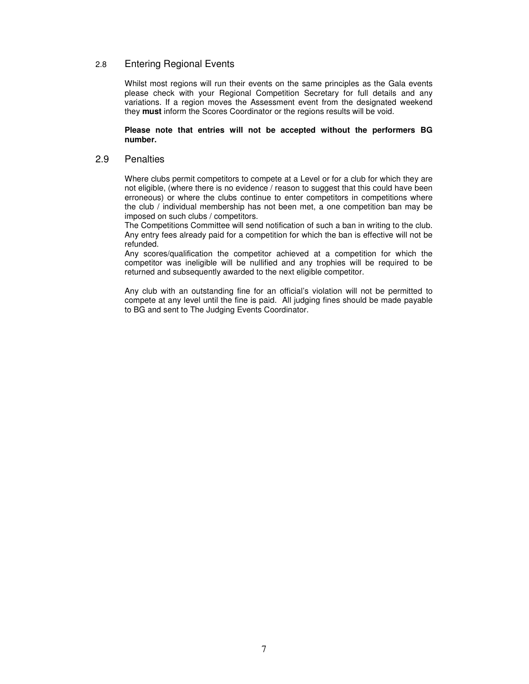#### 2.8 Entering Regional Events

Whilst most regions will run their events on the same principles as the Gala events please check with your Regional Competition Secretary for full details and any variations. If a region moves the Assessment event from the designated weekend they **must** inform the Scores Coordinator or the regions results will be void.

#### **Please note that entries will not be accepted without the performers BG number.**

#### 2.9 Penalties

Where clubs permit competitors to compete at a Level or for a club for which they are not eligible, (where there is no evidence / reason to suggest that this could have been erroneous) or where the clubs continue to enter competitors in competitions where the club / individual membership has not been met, a one competition ban may be imposed on such clubs / competitors.

The Competitions Committee will send notification of such a ban in writing to the club. Any entry fees already paid for a competition for which the ban is effective will not be refunded.

Any scores/qualification the competitor achieved at a competition for which the competitor was ineligible will be nullified and any trophies will be required to be returned and subsequently awarded to the next eligible competitor.

Any club with an outstanding fine for an official's violation will not be permitted to compete at any level until the fine is paid. All judging fines should be made payable to BG and sent to The Judging Events Coordinator.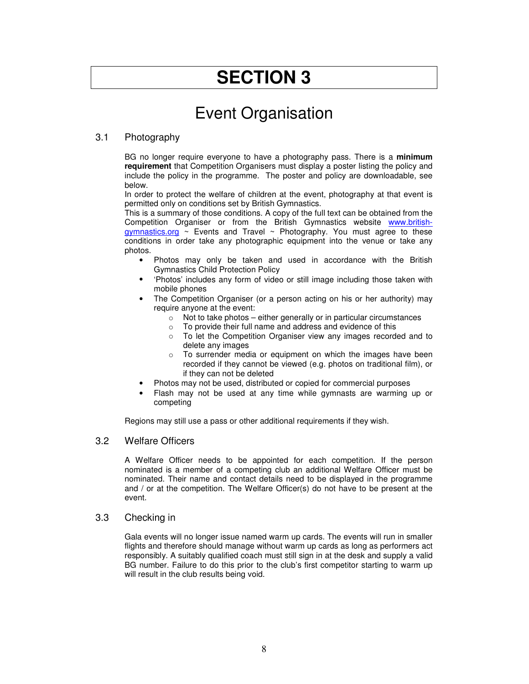### Event Organisation

#### 3.1 Photography

BG no longer require everyone to have a photography pass. There is a **minimum requirement** that Competition Organisers must display a poster listing the policy and include the policy in the programme. The poster and policy are downloadable, see below.

In order to protect the welfare of children at the event, photography at that event is permitted only on conditions set by British Gymnastics.

This is a summary of those conditions. A copy of the full text can be obtained from the Competition Organiser or from the British Gymnastics website www.britishgymnastics.org ~ Events and Travel ~ Photography. You must agree to these conditions in order take any photographic equipment into the venue or take any photos.

- Photos may only be taken and used in accordance with the British Gymnastics Child Protection Policy
- 'Photos' includes any form of video or still image including those taken with mobile phones
- The Competition Organiser (or a person acting on his or her authority) may require anyone at the event:
	- $\circ$  Not to take photos either generally or in particular circumstances
	- o To provide their full name and address and evidence of this<br>
	o To let the Competition Organiser view any images record
	- To let the Competition Organiser view any images recorded and to delete any images
	- o To surrender media or equipment on which the images have been recorded if they cannot be viewed (e.g. photos on traditional film), or if they can not be deleted
- Photos may not be used, distributed or copied for commercial purposes
- Flash may not be used at any time while gymnasts are warming up or competing

Regions may still use a pass or other additional requirements if they wish.

#### 3.2 Welfare Officers

A Welfare Officer needs to be appointed for each competition. If the person nominated is a member of a competing club an additional Welfare Officer must be nominated. Their name and contact details need to be displayed in the programme and / or at the competition. The Welfare Officer(s) do not have to be present at the event.

#### 3.3 Checking in

Gala events will no longer issue named warm up cards. The events will run in smaller flights and therefore should manage without warm up cards as long as performers act responsibly. A suitably qualified coach must still sign in at the desk and supply a valid BG number. Failure to do this prior to the club's first competitor starting to warm up will result in the club results being void.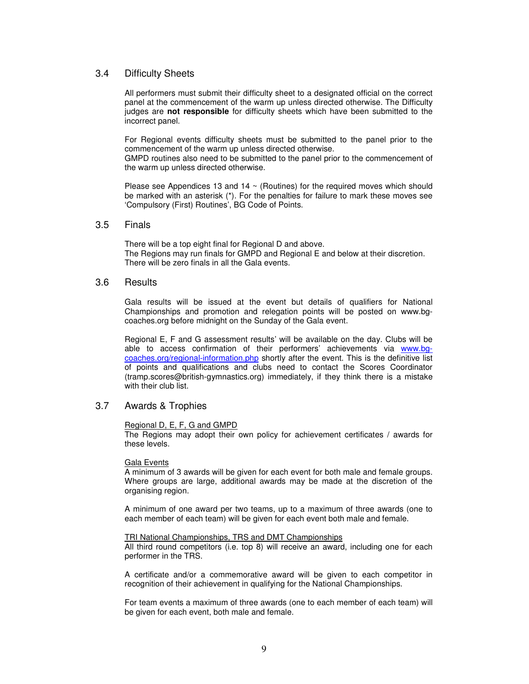#### 3.4 Difficulty Sheets

All performers must submit their difficulty sheet to a designated official on the correct panel at the commencement of the warm up unless directed otherwise. The Difficulty judges are **not responsible** for difficulty sheets which have been submitted to the incorrect panel.

For Regional events difficulty sheets must be submitted to the panel prior to the commencement of the warm up unless directed otherwise.

GMPD routines also need to be submitted to the panel prior to the commencement of the warm up unless directed otherwise.

Please see Appendices 13 and 14  $\sim$  (Routines) for the required moves which should be marked with an asterisk (\*). For the penalties for failure to mark these moves see 'Compulsory (First) Routines', BG Code of Points.

#### 3.5 Finals

There will be a top eight final for Regional D and above. The Regions may run finals for GMPD and Regional E and below at their discretion. There will be zero finals in all the Gala events.

#### 3.6 Results

Gala results will be issued at the event but details of qualifiers for National Championships and promotion and relegation points will be posted on www.bgcoaches.org before midnight on the Sunday of the Gala event.

Regional E, F and G assessment results' will be available on the day. Clubs will be able to access confirmation of their performers' achievements via www.bgcoaches.org/regional-information.php shortly after the event. This is the definitive list of points and qualifications and clubs need to contact the Scores Coordinator (tramp.scores@british-gymnastics.org) immediately, if they think there is a mistake with their club list.

#### 3.7 Awards & Trophies

#### Regional D, E, F, G and GMPD

The Regions may adopt their own policy for achievement certificates / awards for these levels.

#### Gala Events

A minimum of 3 awards will be given for each event for both male and female groups. Where groups are large, additional awards may be made at the discretion of the organising region.

A minimum of one award per two teams, up to a maximum of three awards (one to each member of each team) will be given for each event both male and female.

#### TRI National Championships, TRS and DMT Championships

All third round competitors (i.e. top 8) will receive an award, including one for each performer in the TRS.

A certificate and/or a commemorative award will be given to each competitor in recognition of their achievement in qualifying for the National Championships.

For team events a maximum of three awards (one to each member of each team) will be given for each event, both male and female.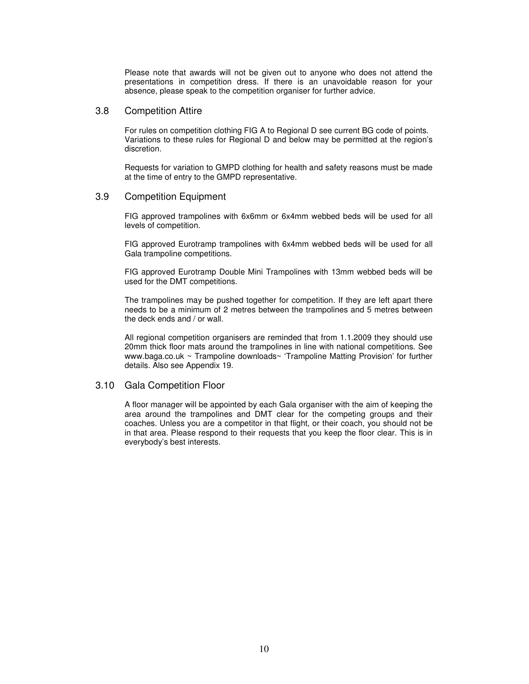Please note that awards will not be given out to anyone who does not attend the presentations in competition dress. If there is an unavoidable reason for your absence, please speak to the competition organiser for further advice.

#### 3.8 Competition Attire

For rules on competition clothing FIG A to Regional D see current BG code of points. Variations to these rules for Regional D and below may be permitted at the region's discretion.

Requests for variation to GMPD clothing for health and safety reasons must be made at the time of entry to the GMPD representative.

#### 3.9 Competition Equipment

FIG approved trampolines with 6x6mm or 6x4mm webbed beds will be used for all levels of competition.

FIG approved Eurotramp trampolines with 6x4mm webbed beds will be used for all Gala trampoline competitions.

FIG approved Eurotramp Double Mini Trampolines with 13mm webbed beds will be used for the DMT competitions.

The trampolines may be pushed together for competition. If they are left apart there needs to be a minimum of 2 metres between the trampolines and 5 metres between the deck ends and / or wall.

All regional competition organisers are reminded that from 1.1.2009 they should use 20mm thick floor mats around the trampolines in line with national competitions. See www.baga.co.uk ~ Trampoline downloads~ 'Trampoline Matting Provision' for further details. Also see Appendix 19.

#### 3.10 Gala Competition Floor

A floor manager will be appointed by each Gala organiser with the aim of keeping the area around the trampolines and DMT clear for the competing groups and their coaches. Unless you are a competitor in that flight, or their coach, you should not be in that area. Please respond to their requests that you keep the floor clear. This is in everybody's best interests.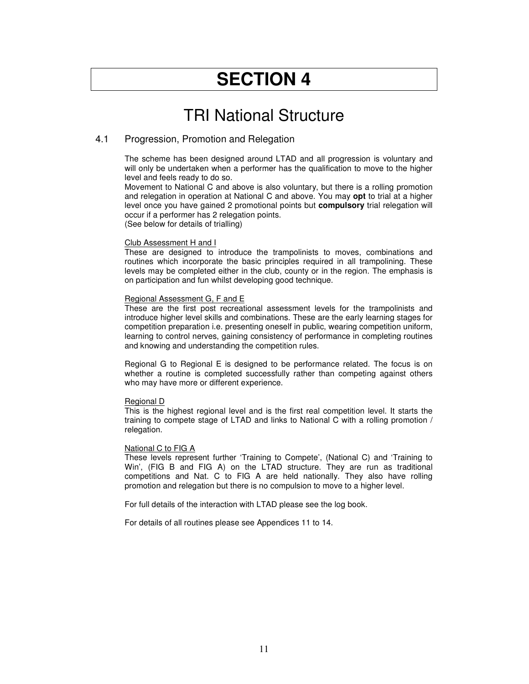### TRI National Structure

#### 4.1 Progression, Promotion and Relegation

The scheme has been designed around LTAD and all progression is voluntary and will only be undertaken when a performer has the qualification to move to the higher level and feels ready to do so.

Movement to National C and above is also voluntary, but there is a rolling promotion and relegation in operation at National C and above. You may **opt** to trial at a higher level once you have gained 2 promotional points but **compulsory** trial relegation will occur if a performer has 2 relegation points.

(See below for details of trialling)

#### Club Assessment H and I

These are designed to introduce the trampolinists to moves, combinations and routines which incorporate the basic principles required in all trampolining. These levels may be completed either in the club, county or in the region. The emphasis is on participation and fun whilst developing good technique.

#### Regional Assessment G, F and E

These are the first post recreational assessment levels for the trampolinists and introduce higher level skills and combinations. These are the early learning stages for competition preparation i.e. presenting oneself in public, wearing competition uniform, learning to control nerves, gaining consistency of performance in completing routines and knowing and understanding the competition rules.

Regional G to Regional E is designed to be performance related. The focus is on whether a routine is completed successfully rather than competing against others who may have more or different experience.

#### Regional D

This is the highest regional level and is the first real competition level. It starts the training to compete stage of LTAD and links to National C with a rolling promotion / relegation.

#### National C to FIG A

These levels represent further 'Training to Compete', (National C) and 'Training to Win', (FIG B and FIG A) on the LTAD structure. They are run as traditional competitions and Nat. C to FIG A are held nationally. They also have rolling promotion and relegation but there is no compulsion to move to a higher level.

For full details of the interaction with LTAD please see the log book.

For details of all routines please see Appendices 11 to 14.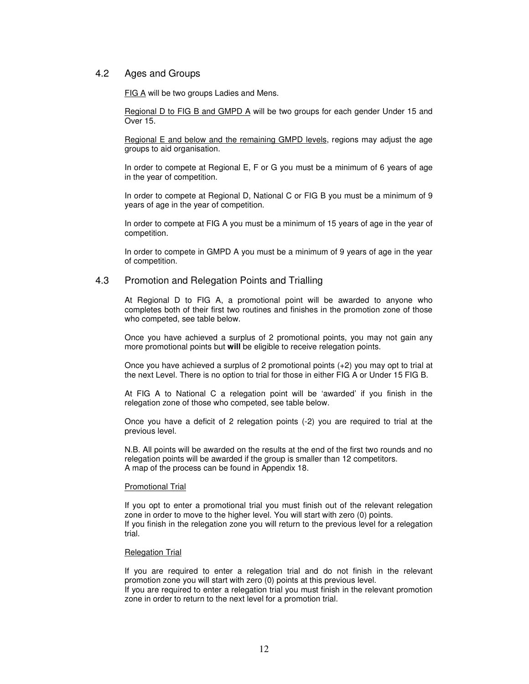#### 4.2 Ages and Groups

FIG A will be two groups Ladies and Mens.

Regional D to FIG B and GMPD A will be two groups for each gender Under 15 and Over 15.

Regional E and below and the remaining GMPD levels, regions may adjust the age groups to aid organisation.

In order to compete at Regional E, F or G you must be a minimum of 6 years of age in the year of competition.

In order to compete at Regional D, National C or FIG B you must be a minimum of 9 years of age in the year of competition.

In order to compete at FIG A you must be a minimum of 15 years of age in the year of competition.

In order to compete in GMPD A you must be a minimum of 9 years of age in the year of competition.

#### 4.3 Promotion and Relegation Points and Trialling

At Regional D to FIG A, a promotional point will be awarded to anyone who completes both of their first two routines and finishes in the promotion zone of those who competed, see table below.

Once you have achieved a surplus of 2 promotional points, you may not gain any more promotional points but **will** be eligible to receive relegation points.

Once you have achieved a surplus of 2 promotional points (+2) you may opt to trial at the next Level. There is no option to trial for those in either FIG A or Under 15 FIG B.

At FIG A to National C a relegation point will be 'awarded' if you finish in the relegation zone of those who competed, see table below.

Once you have a deficit of 2 relegation points (-2) you are required to trial at the previous level.

N.B. All points will be awarded on the results at the end of the first two rounds and no relegation points will be awarded if the group is smaller than 12 competitors. A map of the process can be found in Appendix 18.

#### Promotional Trial

If you opt to enter a promotional trial you must finish out of the relevant relegation zone in order to move to the higher level. You will start with zero (0) points. If you finish in the relegation zone you will return to the previous level for a relegation trial.

#### Relegation Trial

If you are required to enter a relegation trial and do not finish in the relevant promotion zone you will start with zero (0) points at this previous level.

If you are required to enter a relegation trial you must finish in the relevant promotion zone in order to return to the next level for a promotion trial.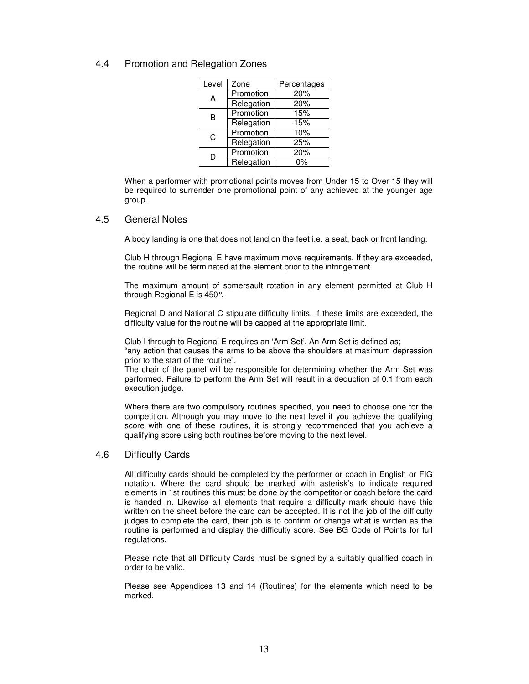#### 4.4 Promotion and Relegation Zones

| Level | Zone       | Percentages |
|-------|------------|-------------|
| А     | Promotion  | 20%         |
|       | Relegation | 20%         |
| B     | Promotion  | 15%         |
|       | Relegation | 15%         |
| C     | Promotion  | 10%         |
|       | Relegation | 25%         |
| D     | Promotion  | 20%         |
|       | Relegation | 0%          |

When a performer with promotional points moves from Under 15 to Over 15 they will be required to surrender one promotional point of any achieved at the younger age group.

#### 4.5 General Notes

A body landing is one that does not land on the feet i.e. a seat, back or front landing.

Club H through Regional E have maximum move requirements. If they are exceeded, the routine will be terminated at the element prior to the infringement.

The maximum amount of somersault rotation in any element permitted at Club H through Regional E is 450°.

Regional D and National C stipulate difficulty limits. If these limits are exceeded, the difficulty value for the routine will be capped at the appropriate limit.

Club I through to Regional E requires an 'Arm Set'. An Arm Set is defined as;

"any action that causes the arms to be above the shoulders at maximum depression prior to the start of the routine".

The chair of the panel will be responsible for determining whether the Arm Set was performed. Failure to perform the Arm Set will result in a deduction of 0.1 from each execution judge.

Where there are two compulsory routines specified, you need to choose one for the competition. Although you may move to the next level if you achieve the qualifying score with one of these routines, it is strongly recommended that you achieve a qualifying score using both routines before moving to the next level.

#### 4.6 Difficulty Cards

All difficulty cards should be completed by the performer or coach in English or FIG notation. Where the card should be marked with asterisk's to indicate required elements in 1st routines this must be done by the competitor or coach before the card is handed in. Likewise all elements that require a difficulty mark should have this written on the sheet before the card can be accepted. It is not the job of the difficulty judges to complete the card, their job is to confirm or change what is written as the routine is performed and display the difficulty score. See BG Code of Points for full regulations.

Please note that all Difficulty Cards must be signed by a suitably qualified coach in order to be valid.

Please see Appendices 13 and 14 (Routines) for the elements which need to be marked.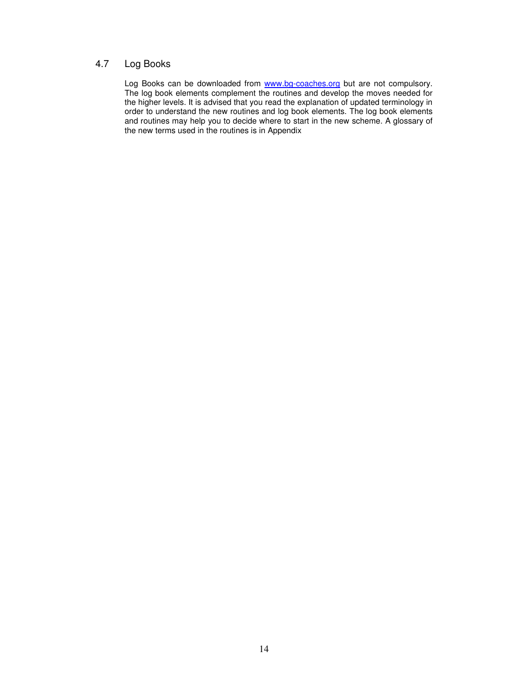#### 4.7 Log Books

Log Books can be downloaded from www.bg-coaches.org but are not compulsory. The log book elements complement the routines and develop the moves needed for the higher levels. It is advised that you read the explanation of updated terminology in order to understand the new routines and log book elements. The log book elements and routines may help you to decide where to start in the new scheme. A glossary of the new terms used in the routines is in Appendix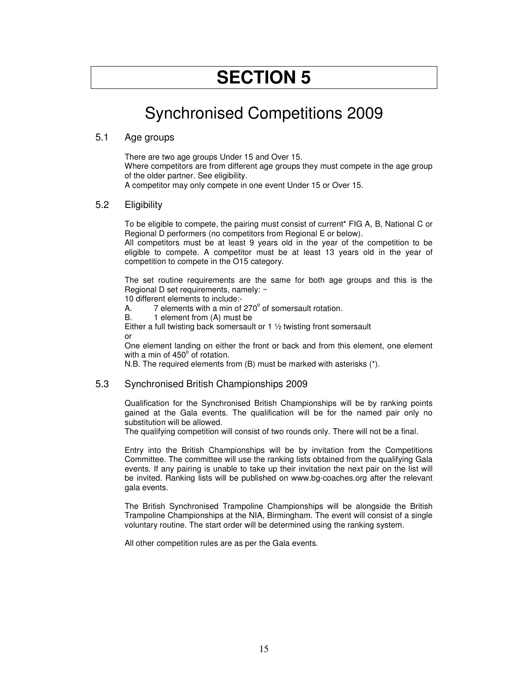### Synchronised Competitions 2009

#### 5.1 Age groups

There are two age groups Under 15 and Over 15. Where competitors are from different age groups they must compete in the age group of the older partner. See eligibility. A competitor may only compete in one event Under 15 or Over 15.

#### 5.2 Eligibility

To be eligible to compete, the pairing must consist of current\* FIG A, B, National C or Regional D performers (no competitors from Regional E or below).

All competitors must be at least 9 years old in the year of the competition to be eligible to compete. A competitor must be at least 13 years old in the year of competition to compete in the O15 category.

The set routine requirements are the same for both age groups and this is the Regional D set requirements, namely: ~

10 different elements to include:-

A.  $\overline{7}$  elements with a min of 270 $^{\circ}$  of somersault rotation.

B. 1 element from (A) must be

Either a full twisting back somersault or 1 ½ twisting front somersault or

One element landing on either the front or back and from this element, one element with a min of 450° of rotation.

N.B. The required elements from (B) must be marked with asterisks (\*).

#### 5.3 Synchronised British Championships 2009

Qualification for the Synchronised British Championships will be by ranking points gained at the Gala events. The qualification will be for the named pair only no substitution will be allowed.

The qualifying competition will consist of two rounds only. There will not be a final.

Entry into the British Championships will be by invitation from the Competitions Committee. The committee will use the ranking lists obtained from the qualifying Gala events. If any pairing is unable to take up their invitation the next pair on the list will be invited. Ranking lists will be published on www.bg-coaches.org after the relevant gala events.

The British Synchronised Trampoline Championships will be alongside the British Trampoline Championships at the NIA, Birmingham. The event will consist of a single voluntary routine. The start order will be determined using the ranking system.

All other competition rules are as per the Gala events.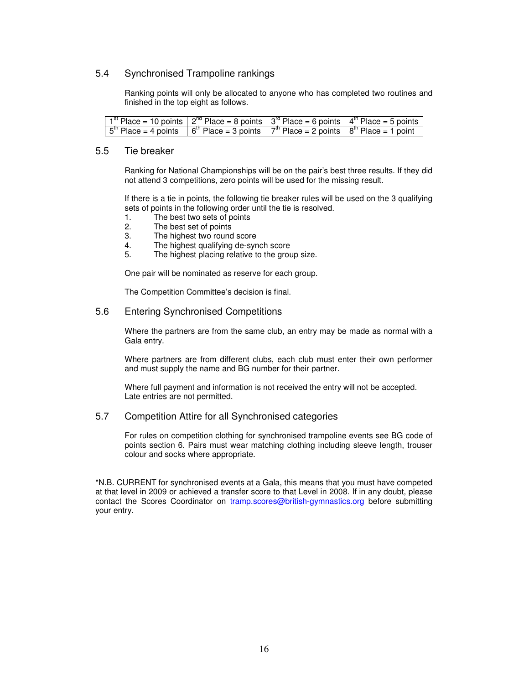#### 5.4 Synchronised Trampoline rankings

Ranking points will only be allocated to anyone who has completed two routines and finished in the top eight as follows.

| $1st$ Place = 10 points $2nd$ Place = 8 points $3rd$ Place = 6 points $4th$ Place = 5 points                                                                           |  |  |
|------------------------------------------------------------------------------------------------------------------------------------------------------------------------|--|--|
| $\sqrt{5}$ <sup>th</sup> Place = 4 points $\sqrt{6}$ <sup>th</sup> Place = 3 points $\sqrt{7}$ <sup>th</sup> Place = 2 points $\sqrt{8}$ <sup>th</sup> Place = 1 point |  |  |

#### 5.5 Tie breaker

Ranking for National Championships will be on the pair's best three results. If they did not attend 3 competitions, zero points will be used for the missing result.

If there is a tie in points, the following tie breaker rules will be used on the 3 qualifying sets of points in the following order until the tie is resolved.

- 1. The best two sets of points
- 2. The best set of points
- 3. The highest two round score
- 4. The highest qualifying de-synch score
- 5. The highest placing relative to the group size.

One pair will be nominated as reserve for each group.

The Competition Committee's decision is final.

#### 5.6 Entering Synchronised Competitions

Where the partners are from the same club, an entry may be made as normal with a Gala entry.

Where partners are from different clubs, each club must enter their own performer and must supply the name and BG number for their partner.

Where full payment and information is not received the entry will not be accepted. Late entries are not permitted.

#### 5.7 Competition Attire for all Synchronised categories

For rules on competition clothing for synchronised trampoline events see BG code of points section 6. Pairs must wear matching clothing including sleeve length, trouser colour and socks where appropriate.

\*N.B. CURRENT for synchronised events at a Gala, this means that you must have competed at that level in 2009 or achieved a transfer score to that Level in 2008. If in any doubt, please contact the Scores Coordinator on tramp.scores@british-gymnastics.org before submitting your entry.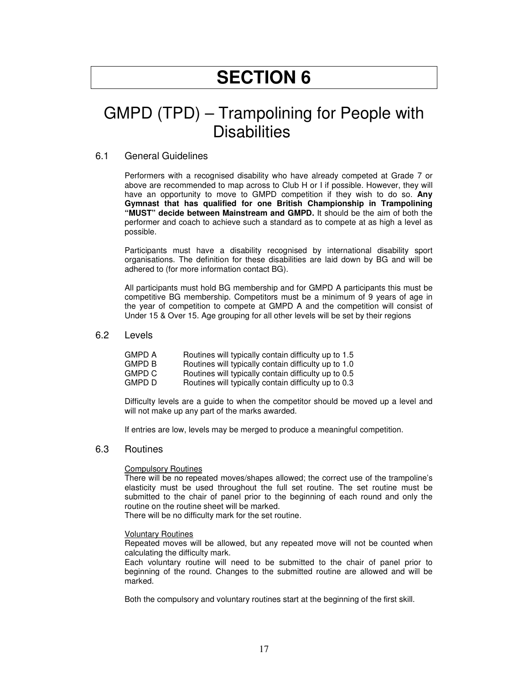### GMPD (TPD) – Trampolining for People with **Disabilities**

#### 6.1 General Guidelines

Performers with a recognised disability who have already competed at Grade 7 or above are recommended to map across to Club H or I if possible. However, they will have an opportunity to move to GMPD competition if they wish to do so. **Any Gymnast that has qualified for one British Championship in Trampolining "MUST" decide between Mainstream and GMPD.** It should be the aim of both the performer and coach to achieve such a standard as to compete at as high a level as possible.

Participants must have a disability recognised by international disability sport organisations. The definition for these disabilities are laid down by BG and will be adhered to (for more information contact BG).

All participants must hold BG membership and for GMPD A participants this must be competitive BG membership. Competitors must be a minimum of 9 years of age in the year of competition to compete at GMPD A and the competition will consist of Under 15 & Over 15. Age grouping for all other levels will be set by their regions

#### 6.2 Levels

| GMPD A | Routines will typically contain difficulty up to 1.5 |
|--------|------------------------------------------------------|
| GMPD B | Routines will typically contain difficulty up to 1.0 |
| GMPD C | Routines will typically contain difficulty up to 0.5 |
| GMPD D | Routines will typically contain difficulty up to 0.3 |
|        |                                                      |

Difficulty levels are a guide to when the competitor should be moved up a level and will not make up any part of the marks awarded.

If entries are low, levels may be merged to produce a meaningful competition.

#### 6.3 Routines

#### Compulsory Routines

There will be no repeated moves/shapes allowed; the correct use of the trampoline's elasticity must be used throughout the full set routine. The set routine must be submitted to the chair of panel prior to the beginning of each round and only the routine on the routine sheet will be marked.

There will be no difficulty mark for the set routine.

#### Voluntary Routines

Repeated moves will be allowed, but any repeated move will not be counted when calculating the difficulty mark.

Each voluntary routine will need to be submitted to the chair of panel prior to beginning of the round. Changes to the submitted routine are allowed and will be marked.

Both the compulsory and voluntary routines start at the beginning of the first skill.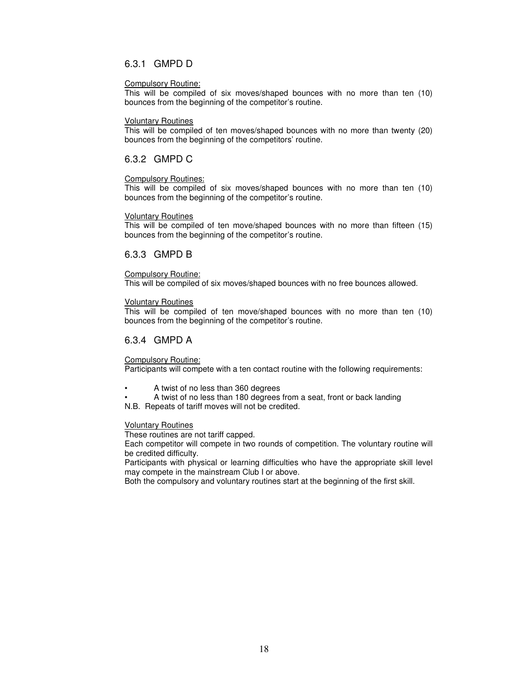#### 6.3.1 GMPD D

#### Compulsory Routine:

This will be compiled of six moves/shaped bounces with no more than ten (10) bounces from the beginning of the competitor's routine.

#### Voluntary Routines

This will be compiled of ten moves/shaped bounces with no more than twenty (20) bounces from the beginning of the competitors' routine.

#### 6.3.2 GMPD C

#### Compulsory Routines:

This will be compiled of six moves/shaped bounces with no more than ten (10) bounces from the beginning of the competitor's routine.

#### Voluntary Routines

This will be compiled of ten move/shaped bounces with no more than fifteen (15) bounces from the beginning of the competitor's routine.

#### 6.3.3 GMPD B

#### Compulsory Routine:

This will be compiled of six moves/shaped bounces with no free bounces allowed.

#### Voluntary Routines

This will be compiled of ten move/shaped bounces with no more than ten (10) bounces from the beginning of the competitor's routine.

#### 6.3.4 GMPD A

Compulsory Routine:

Participants will compete with a ten contact routine with the following requirements:

- A twist of no less than 360 degrees
- A twist of no less than 180 degrees from a seat, front or back landing
- N.B. Repeats of tariff moves will not be credited.

#### Voluntary Routines

These routines are not tariff capped.

Each competitor will compete in two rounds of competition. The voluntary routine will be credited difficulty.

Participants with physical or learning difficulties who have the appropriate skill level may compete in the mainstream Club I or above.

Both the compulsory and voluntary routines start at the beginning of the first skill.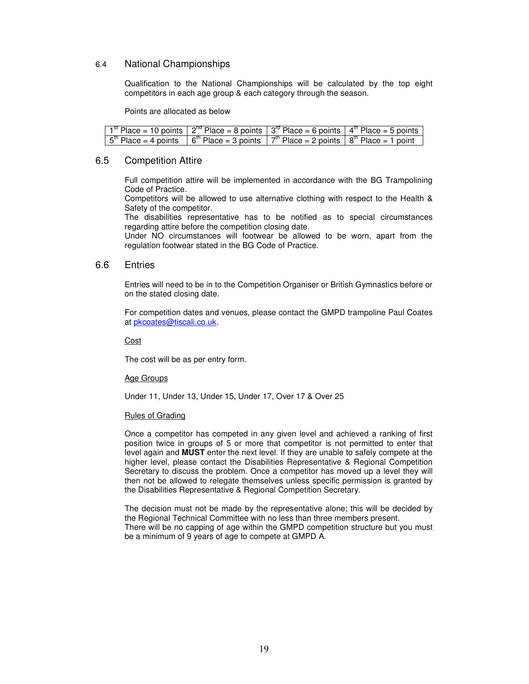#### 6.4 National Championships

Qualification to the National Championships will be calculated by the top eight competitors in each age group & each category through the season.

Points are allocated as below

| $1st$ Place = 10 points $2nd$ Place = 8 points $3rd$ Place = 6 points $4th$ Place = 5 points                                                                           |  |  |
|------------------------------------------------------------------------------------------------------------------------------------------------------------------------|--|--|
| $\sqrt{5}$ <sup>th</sup> Place = 4 points $\sqrt{6}$ <sup>th</sup> Place = 3 points $\sqrt{7}$ <sup>th</sup> Place = 2 points $\sqrt{8}$ <sup>th</sup> Place = 1 point |  |  |

#### 6.5 Competition Attire

Full competition attire will be implemented in accordance with the BG Trampolining Code of Practice.

Competitors will be allowed to use alternative clothing with respect to the Health & Safety of the competitor.

The disabilities representative has to be notified as to special circumstances regarding attire before the competition closing date.

Under NO circumstances will footwear be allowed to be worn, apart from the regulation footwear stated in the BG Code of Practice.

#### 6.6 Entries

Entries will need to be in to the Competition Organiser or British Gymnastics before or on the stated closing date.

For competition dates and venues, please contact the GMPD trampoline Paul Coates at pkcoates@tiscali.co.uk.

**Cost** 

The cost will be as per entry form.

#### Age Groups

Under 11, Under 13, Under 15, Under 17, Over 17 & Over 25

#### Rules of Grading

Once a competitor has competed in any given level and achieved a ranking of first position twice in groups of 5 or more that competitor is not permitted to enter that level again and **MUST** enter the next level. If they are unable to safely compete at the higher level, please contact the Disabilities Representative & Regional Competition Secretary to discuss the problem. Once a competitor has moved up a level they will then not be allowed to relegate themselves unless specific permission is granted by the Disabilities Representative & Regional Competition Secretary.

The decision must not be made by the representative alone; this will be decided by the Regional Technical Committee with no less than three members present. There will be no capping of age within the GMPD competition structure but you must be a minimum of 9 years of age to compete at GMPD A.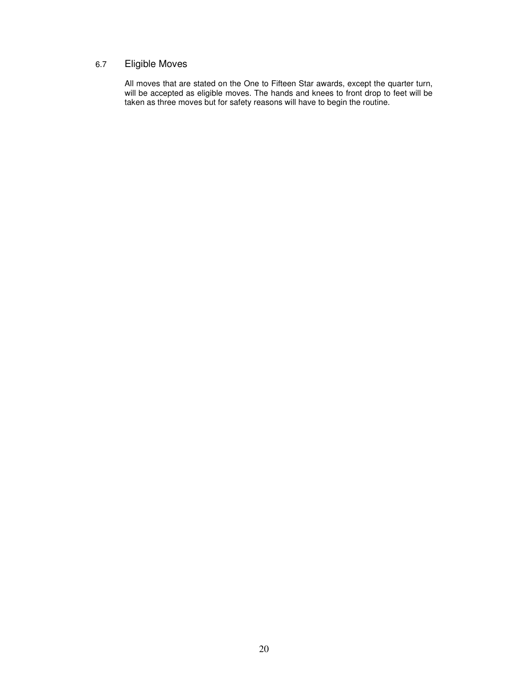#### 6.7 Eligible Moves

All moves that are stated on the One to Fifteen Star awards, except the quarter turn, will be accepted as eligible moves. The hands and knees to front drop to feet will be taken as three moves but for safety reasons will have to begin the routine.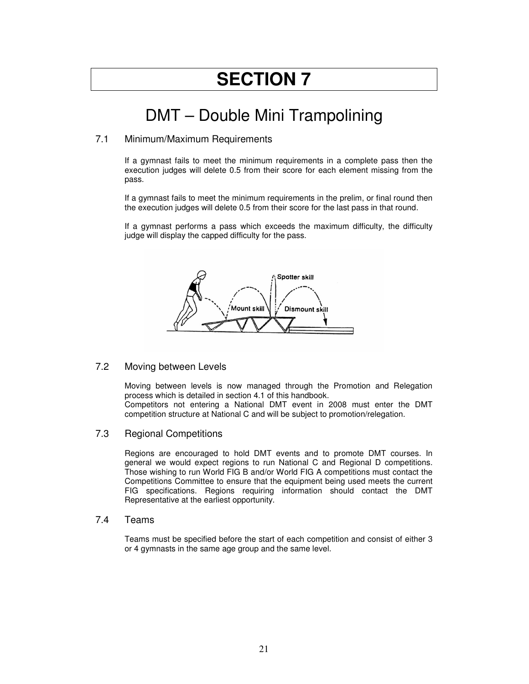## DMT – Double Mini Trampolining

#### 7.1 Minimum/Maximum Requirements

If a gymnast fails to meet the minimum requirements in a complete pass then the execution judges will delete 0.5 from their score for each element missing from the pass.

If a gymnast fails to meet the minimum requirements in the prelim, or final round then the execution judges will delete 0.5 from their score for the last pass in that round.

If a gymnast performs a pass which exceeds the maximum difficulty, the difficulty judge will display the capped difficulty for the pass.



#### 7.2 Moving between Levels

Moving between levels is now managed through the Promotion and Relegation process which is detailed in section 4.1 of this handbook. Competitors not entering a National DMT event in 2008 must enter the DMT competition structure at National C and will be subject to promotion/relegation.

#### 7.3 Regional Competitions

Regions are encouraged to hold DMT events and to promote DMT courses. In general we would expect regions to run National C and Regional D competitions. Those wishing to run World FIG B and/or World FIG A competitions must contact the Competitions Committee to ensure that the equipment being used meets the current FIG specifications. Regions requiring information should contact the DMT Representative at the earliest opportunity.

#### 7.4 Teams

Teams must be specified before the start of each competition and consist of either 3 or 4 gymnasts in the same age group and the same level.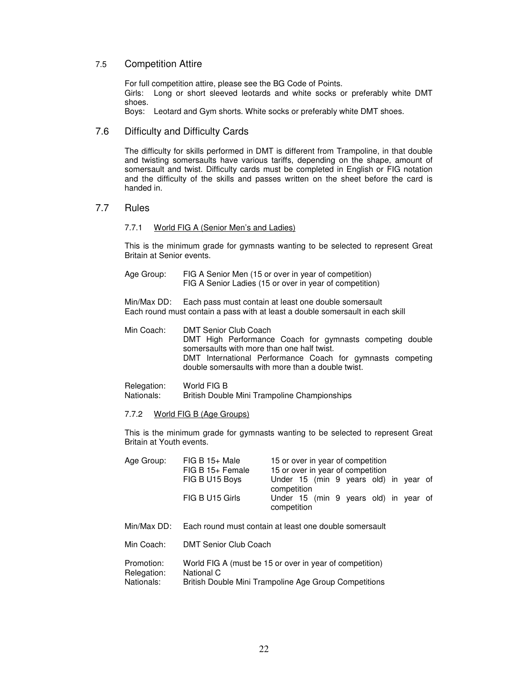#### 7.5 Competition Attire

For full competition attire, please see the BG Code of Points. Girls: Long or short sleeved leotards and white socks or preferably white DMT shoes.

Boys: Leotard and Gym shorts. White socks or preferably white DMT shoes.

#### 7.6 Difficulty and Difficulty Cards

The difficulty for skills performed in DMT is different from Trampoline, in that double and twisting somersaults have various tariffs, depending on the shape, amount of somersault and twist. Difficulty cards must be completed in English or FIG notation and the difficulty of the skills and passes written on the sheet before the card is handed in.

#### 7.7 Rules

#### 7.7.1 World FIG A (Senior Men's and Ladies)

This is the minimum grade for gymnasts wanting to be selected to represent Great Britain at Senior events.

Age Group: FIG A Senior Men (15 or over in year of competition) FIG A Senior Ladies (15 or over in year of competition)

Min/Max DD: Each pass must contain at least one double somersault Each round must contain a pass with at least a double somersault in each skill

Min Coach: DMT Senior Club Coach DMT High Performance Coach for gymnasts competing double somersaults with more than one half twist. DMT International Performance Coach for gymnasts competing double somersaults with more than a double twist.

### Relegation: World FIG B<br>Nationals: British Doubl

British Double Mini Trampoline Championships

#### 7.7.2 World FIG B (Age Groups)

This is the minimum grade for gymnasts wanting to be selected to represent Great Britain at Youth events.

| Age Group: | $FIG B 15+ Male$<br>$FIG B 15+ Female$ | 15 or over in year of competition<br>15 or over in year of competition |
|------------|----------------------------------------|------------------------------------------------------------------------|
|            | FIG B U15 Boys                         | Under 15 (min 9 years old) in year of<br>competition                   |
|            | FIG B U15 Girls                        | Under 15 (min 9 years old) in year of<br>competition                   |

- Min/Max DD: Each round must contain at least one double somersault
- Min Coach: DMT Senior Club Coach

| Promotion:  | World FIG A (must be 15 or over in year of competition) |
|-------------|---------------------------------------------------------|
| Relegation: | National C                                              |
| Nationals:  | British Double Mini Trampoline Age Group Competitions   |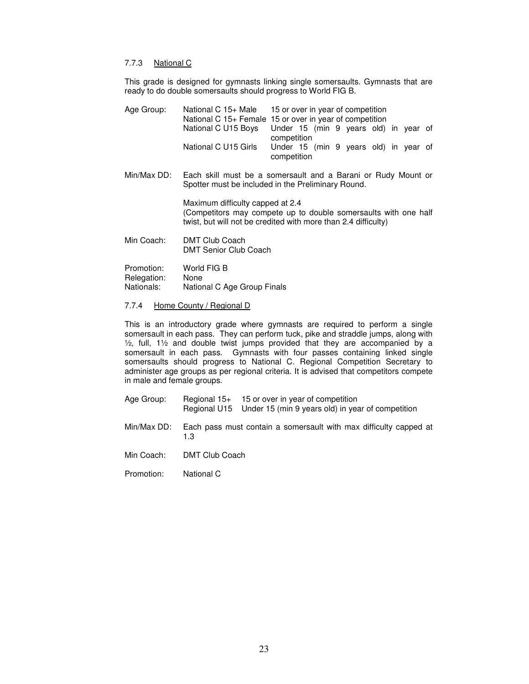#### 7.7.3 National C

This grade is designed for gymnasts linking single somersaults. Gymnasts that are ready to do double somersaults should progress to World FIG B.

| Age Group:                              | National C 15+ Male                                                                                                 | 15 or over in year of competition<br>National C 15+ Female 15 or over in year of competition                                      |
|-----------------------------------------|---------------------------------------------------------------------------------------------------------------------|-----------------------------------------------------------------------------------------------------------------------------------|
|                                         | National C U15 Boys                                                                                                 | Under 15 (min 9 years old) in year of<br>competition                                                                              |
|                                         | National C U15 Girls                                                                                                | Under 15 (min 9 years old) in year of<br>competition                                                                              |
| Min/Max DD:                             | Each skill must be a somersault and a Barani or Rudy Mount or<br>Spotter must be included in the Preliminary Round. |                                                                                                                                   |
|                                         | Maximum difficulty capped at 2.4                                                                                    | (Competitors may compete up to double somersaults with one half<br>twist, but will not be credited with more than 2.4 difficulty) |
| Min Coach:                              | <b>DMT Club Coach</b><br><b>DMT Senior Club Coach</b>                                                               |                                                                                                                                   |
| Promotion:<br>Relegation:<br>Nationals: | World FIG B<br>None<br>National C Age Group Finals                                                                  |                                                                                                                                   |

#### 7.7.4 Home County / Regional D

This is an introductory grade where gymnasts are required to perform a single somersault in each pass. They can perform tuck, pike and straddle jumps, along with ½, full, 1½ and double twist jumps provided that they are accompanied by a somersault in each pass. Gymnasts with four passes containing linked single somersaults should progress to National C. Regional Competition Secretary to administer age groups as per regional criteria. It is advised that competitors compete in male and female groups.

- Age Group: Regional 15+ 15 or over in year of competition Regional U15 Under 15 (min 9 years old) in year of competition
- Min/Max DD: Each pass must contain a somersault with max difficulty capped at 1.3
- Min Coach: DMT Club Coach
- Promotion: National C